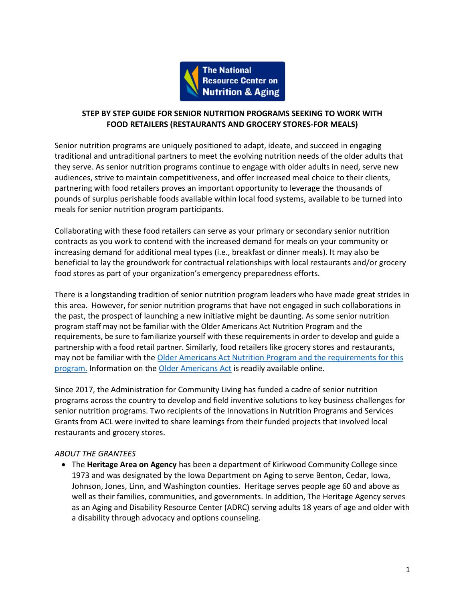

#### **STEP BY STEP GUIDE FOR SENIOR NUTRITION PROGRAMS SEEKING TO WORK WITH FOOD RETAILERS (RESTAURANTS AND GROCERY STORES-FOR MEALS)**

Senior nutrition programs are uniquely positioned to adapt, ideate, and succeed in engaging traditional and untraditional partners to meet the evolving nutrition needs of the older adults that they serve. As senior nutrition programs continue to engage with older adults in need, serve new audiences, strive to maintain competitiveness, and offer increased meal choice to their clients, partnering with food retailers proves an important opportunity to leverage the thousands of pounds of surplus perishable foods available within local food systems, available to be turned into meals for senior nutrition program participants.

Collaborating with these food retailers can serve as your primary or secondary senior nutrition contracts as you work to contend with the increased demand for meals on your community or increasing demand for additional meal types (i.e., breakfast or dinner meals). It may also be beneficial to lay the groundwork for contractual relationships with local restaurants and/or grocery food stores as part of your organization's emergency preparedness efforts.

There is a longstanding tradition of senior nutrition program leaders who have made great strides in this area. However, for senior nutrition programs that have not engaged in such collaborations in the past, the prospect of launching a new initiative might be daunting. As some senior nutrition program staff may not be familiar with the Older Americans Act Nutrition Program and the requirements, be sure to familiarize yourself with these requirements in order to develop and guide a partnership with a food retail partner. Similarly, food retailers like grocery stores and restaurants, may not be familiar with the [Older Americans Act Nutrition Program](https://acl.gov/programs/health-wellness/nutrition-services) and the requirements for this program. Information on the [Older Americans Act](https://acl.gov/sites/default/files/about-acl/2020-04/Older%20Americans%20Act%20Of%201965%20as%20amended%20by%20Public%20Law%20116-131%20on%203-25-2020.pdf) is readily available online.

Since 2017, the Administration for Community Living has funded a cadre of senior nutrition programs across the country to develop and field inventive solutions to key business challenges for senior nutrition programs. Two recipients of the Innovations in Nutrition Programs and Services Grants from ACL were invited to share learnings from their funded projects that involved local restaurants and grocery stores.

### *ABOUT THE GRANTEES*

• The **Heritage Area on Agency** has been a department of Kirkwood Community College since 1973 and was designated by the Iowa Department on Aging to serve Benton, Cedar, Iowa, Johnson, Jones, Linn, and Washington counties. Heritage serves people age 60 and above as well as their families, communities, and governments. In addition, The Heritage Agency serves as an Aging and Disability Resource Center (ADRC) serving adults 18 years of age and older with a disability through advocacy and options counseling.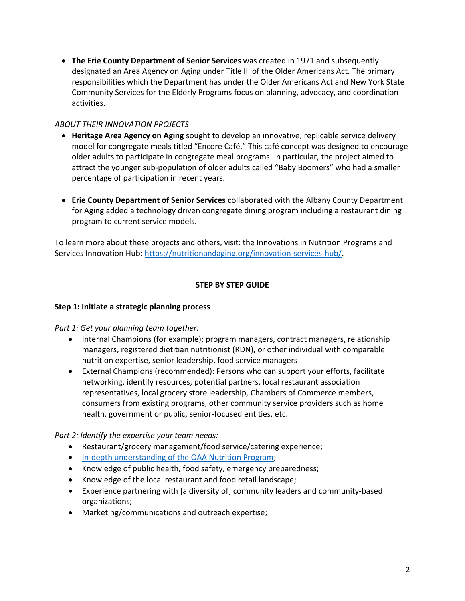• **The Erie County Department of Senior Services** was created in 1971 and subsequently designated an Area Agency on Aging under Title III of the Older Americans Act. The primary responsibilities which the Department has under the Older Americans Act and New York State Community Services for the Elderly Programs focus on planning, advocacy, and coordination activities.

### *ABOUT THEIR INNOVATION PROJECTS*

- **Heritage Area Agency on Aging** sought to develop an innovative, replicable service delivery model for congregate meals titled "Encore Café." This café concept was designed to encourage older adults to participate in congregate meal programs. In particular, the project aimed to attract the younger sub-population of older adults called "Baby Boomers" who had a smaller percentage of participation in recent years.
- **Erie County Department of Senior Services** collaborated with the Albany County Department for Aging added a technology driven congregate dining program including a restaurant dining program to current service models.

To learn more about these projects and others, visit: the Innovations in Nutrition Programs and Services Innovation Hub: [https://nutritionandaging.org/innovation-services-hub/.](https://nutritionandaging.org/innovation-services-hub/)

# **STEP BY STEP GUIDE**

### **Step 1: Initiate a strategic planning process**

### *Part 1: Get your planning team together:*

- Internal Champions (for example): program managers, contract managers, relationship managers, registered dietitian nutritionist (RDN), or other individual with comparable nutrition expertise, senior leadership, food service managers
- External Champions (recommended): Persons who can support your efforts, facilitate networking, identify resources, potential partners, local restaurant association representatives, local grocery store leadership, Chambers of Commerce members, consumers from existing programs, other community service providers such as home health, government or public, senior-focused entities, etc.

### *Part 2: Identify the expertise your team needs:*

- Restaurant/grocery management/food service/catering experience;
- [In-depth understanding of the OAA Nutrition Program;](https://acl.gov/sites/default/files/about-acl/2020-04/Older%20Americans%20Act%20Of%201965%20as%20amended%20by%20Public%20Law%20116-131%20on%203-25-2020.pdf)
- Knowledge of public health, food safety, emergency preparedness;
- Knowledge of the local restaurant and food retail landscape;
- Experience partnering with [a diversity of] community leaders and community-based organizations;
- Marketing/communications and outreach expertise;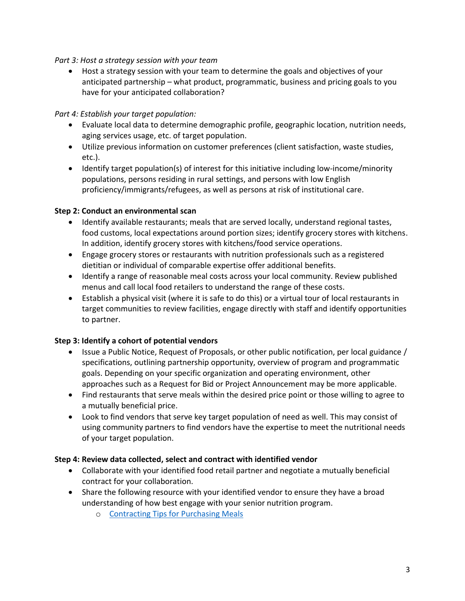## *Part 3: Host a strategy session with your team*

• Host a strategy session with your team to determine the goals and objectives of your anticipated partnership – what product, programmatic, business and pricing goals to you have for your anticipated collaboration?

## *Part 4: Establish your target population:*

- Evaluate local data to determine demographic profile, geographic location, nutrition needs, aging services usage, etc. of target population.
- Utilize previous information on customer preferences (client satisfaction, waste studies, etc.).
- Identify target population(s) of interest for this initiative including low-income/minority populations, persons residing in rural settings, and persons with low English proficiency/immigrants/refugees, as well as persons at risk of institutional care.

## **Step 2: Conduct an environmental scan**

- Identify available restaurants; meals that are served locally, understand regional tastes, food customs, local expectations around portion sizes; identify grocery stores with kitchens. In addition, identify grocery stores with kitchens/food service operations.
- Engage grocery stores or restaurants with nutrition professionals such as a registered dietitian or individual of comparable expertise offer additional benefits.
- Identify a range of reasonable meal costs across your local community. Review published menus and call local food retailers to understand the range of these costs.
- Establish a physical visit (where it is safe to do this) or a virtual tour of local restaurants in target communities to review facilities, engage directly with staff and identify opportunities to partner.

# **Step 3: Identify a cohort of potential vendors**

- Issue a Public Notice, Request of Proposals, or other public notification, per local guidance / specifications, outlining partnership opportunity, overview of program and programmatic goals. Depending on your specific organization and operating environment, other approaches such as a Request for Bid or Project Announcement may be more applicable.
- Find restaurants that serve meals within the desired price point or those willing to agree to a mutually beneficial price.
- Look to find vendors that serve key target population of need as well. This may consist of using community partners to find vendors have the expertise to meet the nutritional needs of your target population.

### **Step 4: Review data collected, select and contract with identified vendor**

- Collaborate with your identified food retail partner and negotiate a mutually beneficial contract for your collaboration.
- Share the following resource with your identified vendor to ensure they have a broad understanding of how best engage with your senior nutrition program.
	- o [Contracting Tips for Purchasing Meals](https://acl.gov/sites/default/files/nutrition/Options%20for%20Contracting%20Meals_October%202021.docx)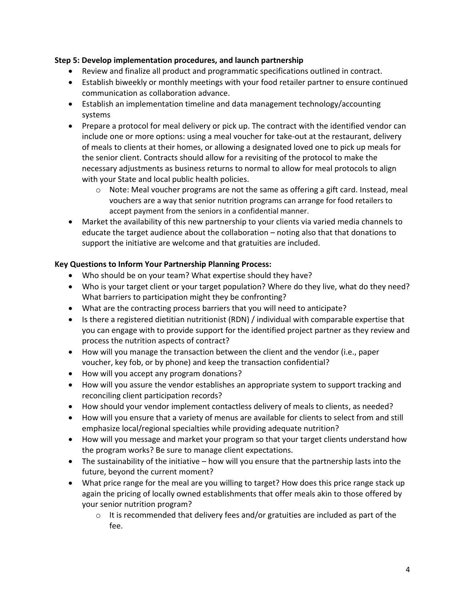## **Step 5: Develop implementation procedures, and launch partnership**

- Review and finalize all product and programmatic specifications outlined in contract.
- Establish biweekly or monthly meetings with your food retailer partner to ensure continued communication as collaboration advance.
- Establish an implementation timeline and data management technology/accounting systems
- Prepare a protocol for meal delivery or pick up. The contract with the identified vendor can include one or more options: using a meal voucher for take-out at the restaurant, delivery of meals to clients at their homes, or allowing a designated loved one to pick up meals for the senior client. Contracts should allow for a revisiting of the protocol to make the necessary adjustments as business returns to normal to allow for meal protocols to align with your State and local public health policies.
	- $\circ$  Note: Meal voucher programs are not the same as offering a gift card. Instead, meal vouchers are a way that senior nutrition programs can arrange for food retailers to accept payment from the seniors in a confidential manner.
- Market the availability of this new partnership to your clients via varied media channels to educate the target audience about the collaboration – noting also that that donations to support the initiative are welcome and that gratuities are included.

# **Key Questions to Inform Your Partnership Planning Process:**

- Who should be on your team? What expertise should they have?
- Who is your target client or your target population? Where do they live, what do they need? What barriers to participation might they be confronting?
- What are the contracting process barriers that you will need to anticipate?
- Is there a registered dietitian nutritionist (RDN) / individual with comparable expertise that you can engage with to provide support for the identified project partner as they review and process the nutrition aspects of contract?
- How will you manage the transaction between the client and the vendor (i.e., paper voucher, key fob, or by phone) and keep the transaction confidential?
- How will you accept any program donations?
- How will you assure the vendor establishes an appropriate system to support tracking and reconciling client participation records?
- How should your vendor implement contactless delivery of meals to clients, as needed?
- How will you ensure that a variety of menus are available for clients to select from and still emphasize local/regional specialties while providing adequate nutrition?
- How will you message and market your program so that your target clients understand how the program works? Be sure to manage client expectations.
- The sustainability of the initiative how will you ensure that the partnership lasts into the future, beyond the current moment?
- What price range for the meal are you willing to target? How does this price range stack up again the pricing of locally owned establishments that offer meals akin to those offered by your senior nutrition program?
	- $\circ$  It is recommended that delivery fees and/or gratuities are included as part of the fee.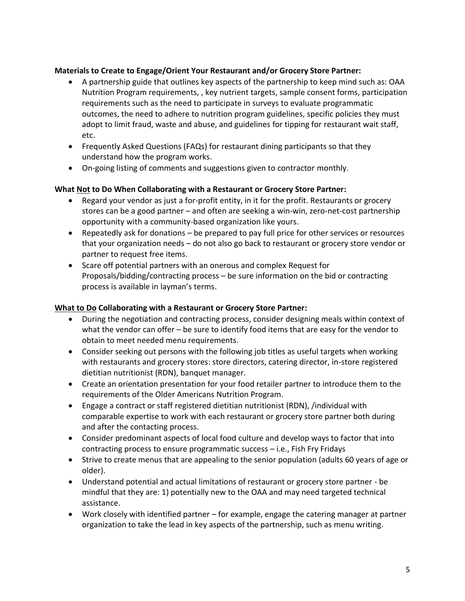## **Materials to Create to Engage/Orient Your Restaurant and/or Grocery Store Partner:**

- A partnership guide that outlines key aspects of the partnership to keep mind such as: OAA Nutrition Program requirements, , key nutrient targets, sample consent forms, participation requirements such as the need to participate in surveys to evaluate programmatic outcomes, the need to adhere to nutrition program guidelines, specific policies they must adopt to limit fraud, waste and abuse, and guidelines for tipping for restaurant wait staff, etc.
- Frequently Asked Questions (FAQs) for restaurant dining participants so that they understand how the program works.
- On-going listing of comments and suggestions given to contractor monthly.

## **What Not to Do When Collaborating with a Restaurant or Grocery Store Partner:**

- Regard your vendor as just a for-profit entity, in it for the profit. Restaurants or grocery stores can be a good partner – and often are seeking a win-win, zero-net-cost partnership opportunity with a community-based organization like yours.
- Repeatedly ask for donations be prepared to pay full price for other services or resources that your organization needs – do not also go back to restaurant or grocery store vendor or partner to request free items.
- Scare off potential partners with an onerous and complex Request for Proposals/bidding/contracting process – be sure information on the bid or contracting process is available in layman's terms.

### **What to Do Collaborating with a Restaurant or Grocery Store Partner:**

- During the negotiation and contracting process, consider designing meals within context of what the vendor can offer – be sure to identify food items that are easy for the vendor to obtain to meet needed menu requirements.
- Consider seeking out persons with the following job titles as useful targets when working with restaurants and grocery stores: store directors, catering director, in-store registered dietitian nutritionist (RDN), banquet manager.
- Create an orientation presentation for your food retailer partner to introduce them to the requirements of the Older Americans Nutrition Program.
- Engage a contract or staff registered dietitian nutritionist (RDN), /individual with comparable expertise to work with each restaurant or grocery store partner both during and after the contacting process.
- Consider predominant aspects of local food culture and develop ways to factor that into contracting process to ensure programmatic success – i.e., Fish Fry Fridays
- Strive to create menus that are appealing to the senior population (adults 60 years of age or older).
- Understand potential and actual limitations of restaurant or grocery store partner be mindful that they are: 1) potentially new to the OAA and may need targeted technical assistance.
- Work closely with identified partner for example, engage the catering manager at partner organization to take the lead in key aspects of the partnership, such as menu writing.